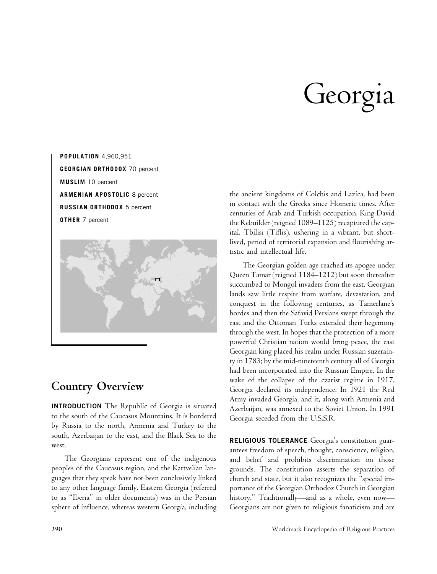# Georgia

**POPULATION** 4,960,951 **GEORGIAN ORTHODOX** 70 percent **MUSLIM** 10 percent **ARMENIAN APOSTOLIC** 8 percent **RUSSIAN ORTHODOX** 5 percent **OTHER** 7 percent



# **Country Overview**

**INTRODUCTION** The Republic of Georgia is situated to the south of the Caucasus Mountains. It is bordered by Russia to the north, Armenia and Turkey to the south, Azerbaijan to the east, and the Black Sea to the west.

The Georgians represent one of the indigenous peoples of the Caucasus region, and the Kartvelian languages that they speak have not been conclusively linked to any other language family. Eastern Georgia (referred to as "Iberia" in older documents) was in the Persian sphere of influence, whereas western Georgia, including the ancient kingdoms of Colchis and Lazica, had been in contact with the Greeks since Homeric times. After centuries of Arab and Turkish occupation, King David the Rebuilder (reigned 1089–1125) recaptured the capital, Tbilisi (Tiflis), ushering in a vibrant, but shortlived, period of territorial expansion and flourishing artistic and intellectual life.

The Georgian golden age reached its apogee under Queen Tamar (reigned 1184–1212) but soon thereafter succumbed to Mongol invaders from the east. Georgian lands saw little respite from warfare, devastation, and conquest in the following centuries, as Tamerlane's hordes and then the Safavid Persians swept through the east and the Ottoman Turks extended their hegemony through the west. In hopes that the protection of a more powerful Christian nation would bring peace, the east Georgian king placed his realm under Russian suzerainty in 1783; by the mid-nineteenth century all of Georgia had been incorporated into the Russian Empire. In the wake of the collapse of the czarist regime in 1917, Georgia declared its independence. In 1921 the Red Army invaded Georgia, and it, along with Armenia and Azerbaijan, was annexed to the Soviet Union. In 1991 Georgia seceded from the U.S.S.R.

**RELIGIOUS TOLERANCE** Georgia's constitution guarantees freedom of speech, thought, conscience, religion, and belief and prohibits discrimination on those grounds. The constitution asserts the separation of church and state, but it also recognizes the "special importance of the Georgian Orthodox Church in Georgian history." Traditionally—and as a whole, even now— Georgians are not given to religious fanaticism and are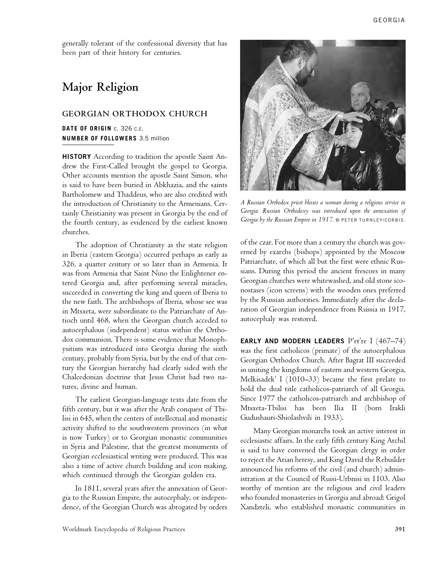generally tolerant of the confessional diversity that has been part of their history for centuries.

## **Major Religion**

#### **GEORGIAN ORTHODOX CHURCH**

**DATE OF ORIGIN** c. 326 C.E. **NUMBER OF FOLLOWERS** 3.5 million

**HISTORY** According to tradition the apostle Saint Andrew the First-Called brought the gospel to Georgia. Other accounts mention the apostle Saint Simon, who is said to have been buried in Abkhazia, and the saints Bartholomew and Thaddeus, who are also credited with the introduction of Christianity to the Armenians. Certainly Christianity was present in Georgia by the end of the fourth century, as evidenced by the earliest known churches.

The adoption of Christianity as the state religion in Iberia (eastern Georgia) occurred perhaps as early as 326, a quarter century or so later than in Armenia. It was from Armenia that Saint Nino the Enlightener entered Georgia and, after performing several miracles, succeeded in converting the king and queen of Iberia to the new faith. The archbishops of Iberia, whose see was in Mtsxeta, were subordinate to the Patriarchate of Antioch until 468, when the Georgian church acceded to autocephalous (independent) status within the Orthodox communion. There is some evidence that Monophysitism was introduced into Georgia during the sixth century, probably from Syria, but by the end of that century the Georgian hierarchy had clearly sided with the Chalcedonian doctrine that Jesus Christ had two natures, divine and human.

The earliest Georgian-language texts date from the fifth century, but it was after the Arab conquest of Tbilisi in 645, when the centers of intellectual and monastic activity shifted to the southwestern provinces (in what is now Turkey) or to Georgian monastic communities in Syria and Palestine, that the greatest monuments of Georgian ecclesiastical writing were produced. This was also a time of active church building and icon making, which continued through the Georgian golden era.

In 1811, several years after the annexation of Georgia to the Russian Empire, the autocephaly, or independence, of the Georgian Church was abrogated by orders



*A Russian Orthodox priest blesses a woman during a religious service in Georgia. Russian Orthodoxy was introduced upon the annexation of Georgia by the Russian Empire in 1917.* © PETER TURNLEY/CORBIS.

of the czar. For more than a century the church was governed by exarchs (bishops) appointed by the Moscow Patriarchate, of which all but the first were ethnic Russians. During this period the ancient frescoes in many Georgian churches were whitewashed, and old stone iconostases (icon screens) with the wooden ones preferred by the Russian authorities. Immediately after the declaration of Georgian independence from Russia in 1917, autocephaly was restored.

**EARLY AND MODERN LEADERS** P'et're I (467–74) was the first catholicos (primate) of the autocephalous Georgian Orthodox Church. After Bagrat III succeeded in uniting the kingdoms of eastern and western Georgia, Melkisadek' I (1010–33) became the first prelate to hold the dual title catholicos-patriarch of all Georgia. Since 1977 the catholicos-patriarch and archbishop of Mtsxeta-Tbilisi has been Ilia II (born Irakli Gudushauri-Shiolashvili in 1933).

Many Georgian monarchs took an active interest in ecclesiastic affairs. In the early fifth century King Archil is said to have convened the Georgian clergy in order to reject the Arian heresy, and King David the Rebuilder announced his reforms of the civil (and church) administration at the Council of Ruisi-Urbnisi in 1103. Also worthy of mention are the religious and civil leaders who founded monasteries in Georgia and abroad: Grigol Xandzteli, who established monastic communities in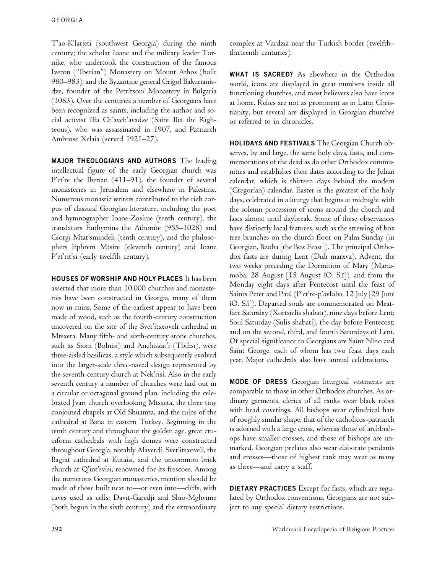T'ao-K'larjeti (southwest Georgia) during the ninth century; the scholar Ioane and the military leader Tornike, who undertook the construction of the famous Iveron ("Iberian") Monastery on Mount Athos (built 980–983); and the Byzantine general Grigol Bakurianisdze, founder of the Petritsoni Monastery in Bulgaria (1083). Over the centuries a number of Georgians have been recognized as saints, including the author and social activist Ilia Ch'avch'avadze (Saint Ilia the Righteous), who was assassinated in 1907, and Patriarch Ambrose Xelaia (served 1921–27).

**MAJOR THEOLOGIANS AND AUTHORS** The leading intellectual figure of the early Georgian church was P'et're the Iberian (411–91), the founder of several monasteries in Jerusalem and elsewhere in Palestine. Numerous monastic writers contributed to the rich corpus of classical Georgian literature, including the poet and hymnographer Ioane-Zosime (tenth century), the translators Euthymius the Athonite (955–1028) and Giorgi Mtat'smindeli (tenth century), and the philosophers Ephrem Mtsire (eleventh century) and Ioane P'et'rit'si (early twelfth century).

**HOUSES OF WORSHIP AND HOLY PLACES** It has been asserted that more than 10,000 churches and monasteries have been constructed in Georgia, many of them now in ruins. Some of the earliest appear to have been made of wood, such as the fourth-century construction uncovered on the site of the Svet'itsxoveli cathedral in Mtsxeta. Many fifth- and sixth-century stone churches, such as Sioni (Bolnisi) and Anchisxat'i (Tbilisi), were three-aisled basilicas, a style which subsequently evolved into the larger-scale three-naved design represented by the seventh-century church at Nek'risi. Also in the early seventh century a number of churches were laid out in a circular or octagonal ground plan, including the celebrated Jvari church overlooking Mtsxeta, the three tiny conjoined chapels at Old Shuamta, and the ruins of the cathedral at Bana in eastern Turkey. Beginning in the tenth century and throughout the golden age, great cruciform cathedrals with high domes were constructed throughout Georgia, notably Alaverdi, Svet'itsxoveli, the Bagrat cathedral at Kutaisi, and the uncommon brick church at Q'int'svisi, renowned for its frescoes. Among the numerous Georgian monasteries, mention should be made of those built next to—or even into—cliffs, with caves used as cells: Davit-Garedji and Shio-Mghvime (both begun in the sixth century) and the extraordinary

complex at Vardzia near the Turkish border (twelfth– thirteenth centuries).

**WHAT IS SACRED?** As elsewhere in the Orthodox world, icons are displayed in great numbers inside all functioning churches, and most believers also have icons at home. Relics are not as prominent as in Latin Christianity, but several are displayed in Georgian churches or referred to in chronicles.

**HOLIDAYS AND FESTIVALS** The Georgian Church observes, by and large, the same holy days, fasts, and commemorations of the dead as do other Orthodox communities and establishes their dates according to the Julian calendar, which is thirteen days behind the modern (Gregorian) calendar. Easter is the greatest of the holy days, celebrated in a liturgy that begins at midnight with the solemn procession of icons around the church and lasts almost until daybreak. Some of these observances have distinctly local features, such as the strewing of box tree branches on the church floor on Palm Sunday (in Georgian, Bzoba [the Box Feast]). The principal Orthodox fasts are during Lent (Didi marxva), Advent, the two weeks preceding the Dormition of Mary (Mariamoba, 28 August [15 August îO. S.ï]), and from the Monday eight days after Pentecost until the feast of Saints Peter and Paul (P'et're-p'avloba, 12 July [29 June îO. S.ï]). Departed souls are commemorated on Meatfare Saturday (Xortsielis shabati), nine days before Lent; Soul Saturday (Sulis shabati), the day before Pentecost; and on the second, third, and fourth Saturdays of Lent. Of special significance to Georgians are Saint Nino and Saint George, each of whom has two feast days each year. Major cathedrals also have annual celebrations.

**MODE OF DRESS** Georgian liturgical vestments are comparable to those in other Orthodox churches. As ordinary garments, clerics of all ranks wear black robes with head coverings. All bishops wear cylindrical hats of roughly similar shape; that of the catholicos-patriarch is adorned with a large cross, whereas those of archbishops have smaller crosses, and those of bishops are unmarked. Georgian prelates also wear elaborate pendants and crosses—those of highest rank may wear as many as three—and carry a staff.

**DIETARY PRACTICES** Except for fasts, which are regulated by Orthodox conventions, Georgians are not subject to any special dietary restrictions.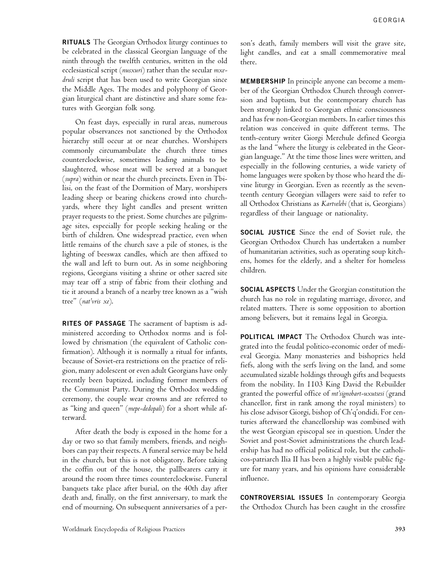**RITUALS** The Georgian Orthodox liturgy continues to be celebrated in the classical Georgian language of the ninth through the twelfth centuries, written in the old ecclesiastical script (*nusxuri*) rather than the secular *mxedruli* script that has been used to write Georgian since the Middle Ages. The modes and polyphony of Georgian liturgical chant are distinctive and share some features with Georgian folk song.

On feast days, especially in rural areas, numerous popular observances not sanctioned by the Orthodox hierarchy still occur at or near churches. Worshipers commonly circumambulate the church three times counterclockwise, sometimes leading animals to be slaughtered, whose meat will be served at a banquet (*supra*) within or near the church precincts. Even in Tbilisi, on the feast of the Dormition of Mary, worshipers leading sheep or bearing chickens crowd into churchyards, where they light candles and present written prayer requests to the priest. Some churches are pilgrimage sites, especially for people seeking healing or the birth of children. One widespread practice, even when little remains of the church save a pile of stones, is the lighting of beeswax candles, which are then affixed to the wall and left to burn out. As in some neighboring regions, Georgians visiting a shrine or other sacred site may tear off a strip of fabric from their clothing and tie it around a branch of a nearby tree known as a "wish tree" (*nat'vris xe*).

**RITES OF PASSAGE** The sacrament of baptism is administered according to Orthodox norms and is followed by chrismation (the equivalent of Catholic confirmation). Although it is normally a ritual for infants, because of Soviet-era restrictions on the practice of religion, many adolescent or even adult Georgians have only recently been baptized, including former members of the Communist Party. During the Orthodox wedding ceremony, the couple wear crowns and are referred to as "king and queen" (*mepe-dedopali*) for a short while afterward.

After death the body is exposed in the home for a day or two so that family members, friends, and neighbors can pay their respects. A funeral service may be held in the church, but this is not obligatory. Before taking the coffin out of the house, the pallbearers carry it around the room three times counterclockwise. Funeral banquets take place after burial, on the 40th day after death and, finally, on the first anniversary, to mark the end of mourning. On subsequent anniversaries of a person's death, family members will visit the grave site, light candles, and eat a small commemorative meal there.

**MEMBERSHIP** In principle anyone can become a member of the Georgian Orthodox Church through conversion and baptism, but the contemporary church has been strongly linked to Georgian ethnic consciousness and has few non-Georgian members. In earlier times this relation was conceived in quite different terms. The tenth-century writer Giorgi Merchule defined Georgia as the land "where the liturgy is celebrated in the Georgian language." At the time those lines were written, and especially in the following centuries, a wide variety of home languages were spoken by those who heard the divine liturgy in Georgian. Even as recently as the seventeenth century Georgian villagers were said to refer to all Orthodox Christians as *Kartvelebi* (that is, Georgians) regardless of their language or nationality.

**SOCIAL JUSTICE** Since the end of Soviet rule, the Georgian Orthodox Church has undertaken a number of humanitarian activities, such as operating soup kitchens, homes for the elderly, and a shelter for homeless children.

**SOCIAL ASPECTS** Under the Georgian constitution the church has no role in regulating marriage, divorce, and related matters. There is some opposition to abortion among believers, but it remains legal in Georgia.

**POLITICAL IMPACT** The Orthodox Church was integrated into the feudal politico-economic order of medieval Georgia. Many monasteries and bishoprics held fiefs, along with the serfs living on the land, and some accumulated sizable holdings through gifts and bequests from the nobility. In 1103 King David the Rebuilder granted the powerful office of *mt'signobart-uxutsesi* (grand chancellor, first in rank among the royal ministers) to his close advisor Giorgi, bishop of Ch'q'ondidi. For centuries afterward the chancellorship was combined with the west Georgian episcopal see in question. Under the Soviet and post-Soviet administrations the church leadership has had no official political role, but the catholicos-patriarch Ilia II has been a highly visible public figure for many years, and his opinions have considerable influence.

**CONTROVERSIAL ISSUES** In contemporary Georgia the Orthodox Church has been caught in the crossfire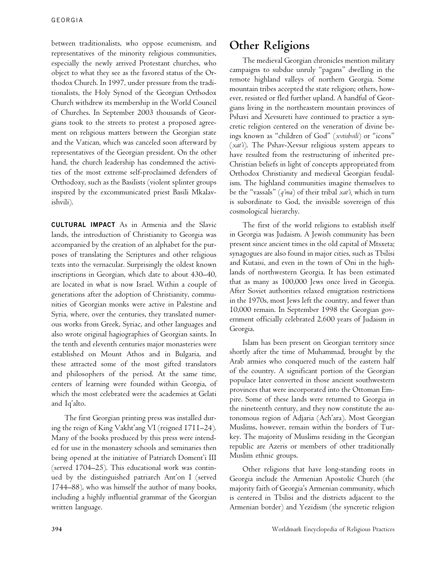between traditionalists, who oppose ecumenism, and representatives of the minority religious communities, especially the newly arrived Protestant churches, who object to what they see as the favored status of the Orthodox Church. In 1997, under pressure from the traditionalists, the Holy Synod of the Georgian Orthodox Church withdrew its membership in the World Council of Churches. In September 2003 thousands of Georgians took to the streets to protest a proposed agreement on religious matters between the Georgian state and the Vatican, which was canceled soon afterward by representatives of the Georgian president. On the other hand, the church leadership has condemned the activities of the most extreme self-proclaimed defenders of Orthodoxy, such as the Basilists (violent splinter groups inspired by the excommunicated priest Basili Mkalavishvili).

**CULTURAL IMPACT** As in Armenia and the Slavic lands, the introduction of Christianity to Georgia was accompanied by the creation of an alphabet for the purposes of translating the Scriptures and other religious texts into the vernacular. Surprisingly the oldest known inscriptions in Georgian, which date to about 430–40, are located in what is now Israel. Within a couple of generations after the adoption of Christianity, communities of Georgian monks were active in Palestine and Syria, where, over the centuries, they translated numerous works from Greek, Syriac, and other languages and also wrote original hagiographies of Georgian saints. In the tenth and eleventh centuries major monasteries were established on Mount Athos and in Bulgaria, and these attracted some of the most gifted translators and philosophers of the period. At the same time, centers of learning were founded within Georgia, of which the most celebrated were the academies at Gelati and Iq'alto.

The first Georgian printing press was installed during the reign of King Vakht'ang VI (reigned 1711–24). Many of the books produced by this press were intended for use in the monastery schools and seminaries then being opened at the initiative of Patriarch Doment'i III (served 1704–25). This educational work was continued by the distinguished patriarch Ant'on I (served 1744–88), who was himself the author of many books, including a highly influential grammar of the Georgian written language.

## **Other Religions**

The medieval Georgian chronicles mention military campaigns to subdue unruly "pagans" dwelling in the remote highland valleys of northern Georgia. Some mountain tribes accepted the state religion; others, however, resisted or fled further upland. A handful of Georgians living in the northeastern mountain provinces of Pshavi and Xevsureti have continued to practice a syncretic religion centered on the veneration of divine beings known as "children of God" (*xvtishvili*) or "icons" (*xat'i*). The Pshav-Xevsur religious system appears to have resulted from the restructuring of inherited pre-Christian beliefs in light of concepts appropriated from Orthodox Christianity and medieval Georgian feudalism. The highland communities imagine themselves to be the "vassals" (*q'ma*) of their tribal *xat'i,* which in turn is subordinate to God, the invisible sovereign of this cosmological hierarchy.

The first of the world religions to establish itself in Georgia was Judaism. A Jewish community has been present since ancient times in the old capital of Mtsxeta; synagogues are also found in major cities, such as Tbilisi and Kutaisi, and even in the town of Oni in the highlands of northwestern Georgia. It has been estimated that as many as 100,000 Jews once lived in Georgia. After Soviet authorities relaxed emigration restrictions in the 1970s, most Jews left the country, and fewer than 10,000 remain. In September 1998 the Georgian government officially celebrated 2,600 years of Judaism in Georgia.

Islam has been present on Georgian territory since shortly after the time of Muhammad, brought by the Arab armies who conquered much of the eastern half of the country. A significant portion of the Georgian populace later converted in those ancient southwestern provinces that were incorporated into the Ottoman Empire. Some of these lands were returned to Georgia in the nineteenth century, and they now constitute the autonomous region of Adjaria (Ach'ara). Most Georgian Muslims, however, remain within the borders of Turkey. The majority of Muslims residing in the Georgian republic are Azeris or members of other traditionally Muslim ethnic groups.

Other religions that have long-standing roots in Georgia include the Armenian Apostolic Church (the majority faith of Georgia's Armenian community, which is centered in Tbilisi and the districts adjacent to the Armenian border) and Yezidism (the syncretic religion